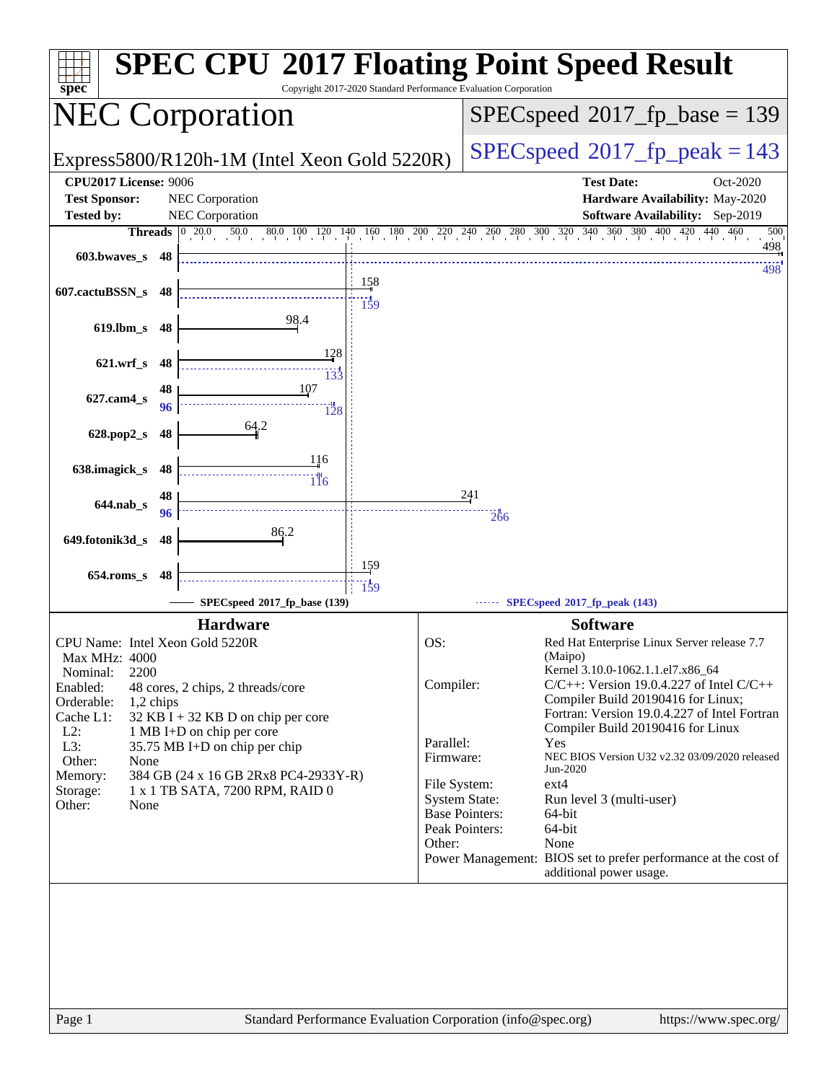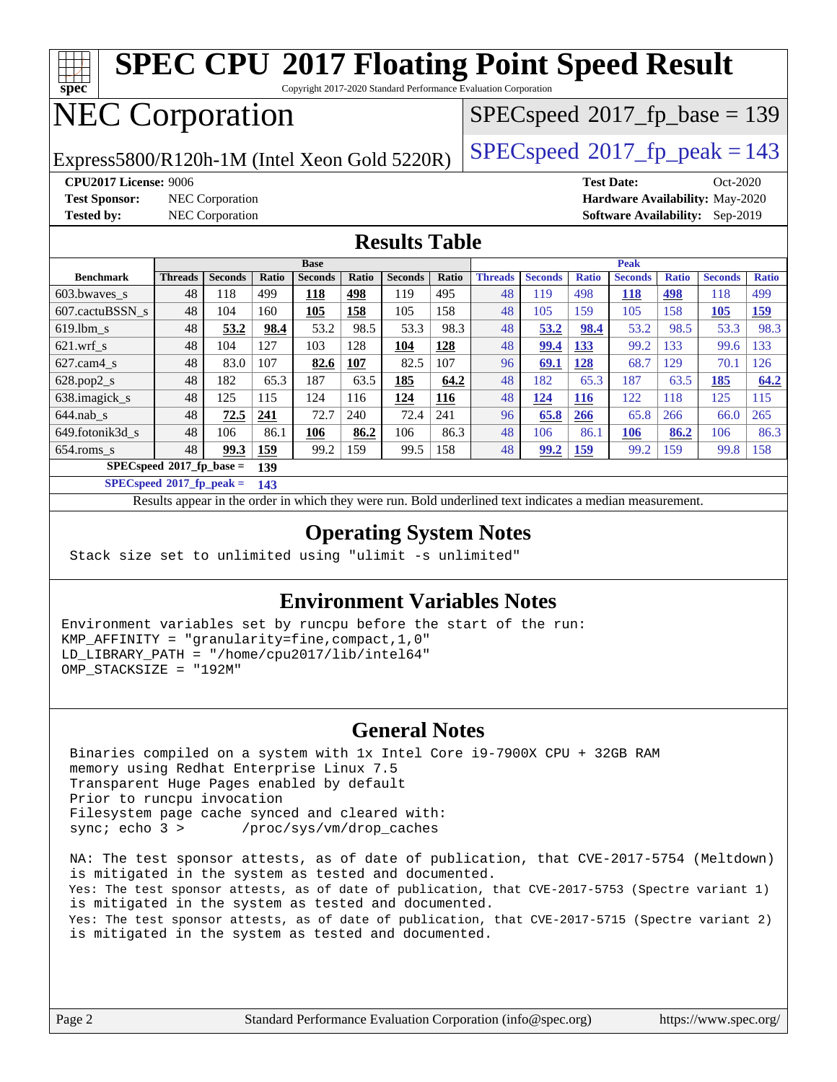

#### **[Operating System Notes](http://www.spec.org/auto/cpu2017/Docs/result-fields.html#OperatingSystemNotes)**

Stack size set to unlimited using "ulimit -s unlimited"

#### **[Environment Variables Notes](http://www.spec.org/auto/cpu2017/Docs/result-fields.html#EnvironmentVariablesNotes)**

Environment variables set by runcpu before the start of the run: KMP\_AFFINITY = "granularity=fine,compact,1,0" LD\_LIBRARY\_PATH = "/home/cpu2017/lib/intel64" OMP\_STACKSIZE = "192M"

#### **[General Notes](http://www.spec.org/auto/cpu2017/Docs/result-fields.html#GeneralNotes)**

 Binaries compiled on a system with 1x Intel Core i9-7900X CPU + 32GB RAM memory using Redhat Enterprise Linux 7.5 Transparent Huge Pages enabled by default Prior to runcpu invocation Filesystem page cache synced and cleared with: sync; echo 3 > /proc/sys/vm/drop\_caches

 NA: The test sponsor attests, as of date of publication, that CVE-2017-5754 (Meltdown) is mitigated in the system as tested and documented. Yes: The test sponsor attests, as of date of publication, that CVE-2017-5753 (Spectre variant 1) is mitigated in the system as tested and documented. Yes: The test sponsor attests, as of date of publication, that CVE-2017-5715 (Spectre variant 2) is mitigated in the system as tested and documented.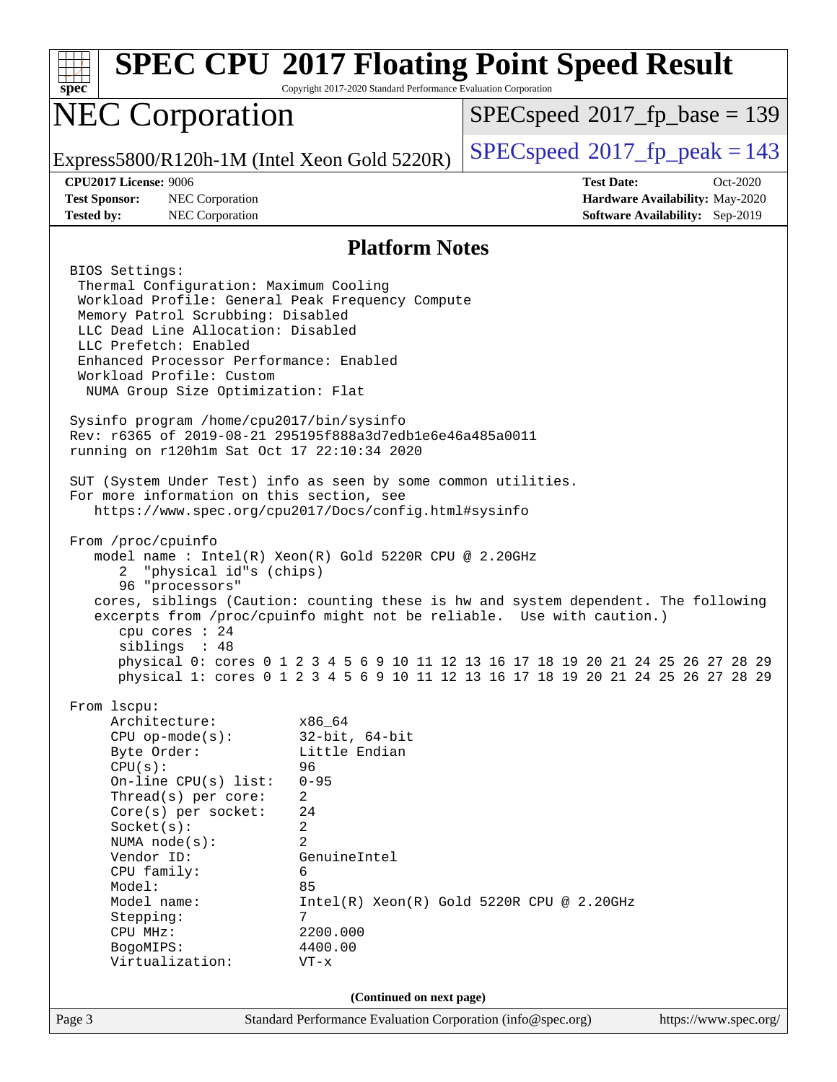| <b>SPEC CPU®2017 Floating Point Speed Result</b><br>Copyright 2017-2020 Standard Performance Evaluation Corporation<br>spec <sup>®</sup>                                                                                                                                                                                                                                                                                                                                                                                                                                                                                                                                                                                                                                                                                                                                                                                                                                                                                                                                                                                                               |                                                                                                                                                           |                                                                                                                                                                                                                                                                                                                                                                                      |  |  |
|--------------------------------------------------------------------------------------------------------------------------------------------------------------------------------------------------------------------------------------------------------------------------------------------------------------------------------------------------------------------------------------------------------------------------------------------------------------------------------------------------------------------------------------------------------------------------------------------------------------------------------------------------------------------------------------------------------------------------------------------------------------------------------------------------------------------------------------------------------------------------------------------------------------------------------------------------------------------------------------------------------------------------------------------------------------------------------------------------------------------------------------------------------|-----------------------------------------------------------------------------------------------------------------------------------------------------------|--------------------------------------------------------------------------------------------------------------------------------------------------------------------------------------------------------------------------------------------------------------------------------------------------------------------------------------------------------------------------------------|--|--|
| <b>NEC Corporation</b>                                                                                                                                                                                                                                                                                                                                                                                                                                                                                                                                                                                                                                                                                                                                                                                                                                                                                                                                                                                                                                                                                                                                 |                                                                                                                                                           | $SPEC speed^{\circ}2017\_fp\_base = 139$                                                                                                                                                                                                                                                                                                                                             |  |  |
| Express5800/R120h-1M (Intel Xeon Gold 5220R)                                                                                                                                                                                                                                                                                                                                                                                                                                                                                                                                                                                                                                                                                                                                                                                                                                                                                                                                                                                                                                                                                                           |                                                                                                                                                           | $SPEC speed^{\circ}2017$ [p_peak = 143                                                                                                                                                                                                                                                                                                                                               |  |  |
| <b>CPU2017 License: 9006</b><br><b>Test Sponsor:</b><br>NEC Corporation<br><b>Tested by:</b><br>NEC Corporation                                                                                                                                                                                                                                                                                                                                                                                                                                                                                                                                                                                                                                                                                                                                                                                                                                                                                                                                                                                                                                        |                                                                                                                                                           | <b>Test Date:</b><br>Oct-2020<br>Hardware Availability: May-2020<br><b>Software Availability:</b> Sep-2019                                                                                                                                                                                                                                                                           |  |  |
| <b>Platform Notes</b>                                                                                                                                                                                                                                                                                                                                                                                                                                                                                                                                                                                                                                                                                                                                                                                                                                                                                                                                                                                                                                                                                                                                  |                                                                                                                                                           |                                                                                                                                                                                                                                                                                                                                                                                      |  |  |
| BIOS Settings:<br>Thermal Configuration: Maximum Cooling<br>Workload Profile: General Peak Frequency Compute<br>Memory Patrol Scrubbing: Disabled<br>LLC Dead Line Allocation: Disabled<br>LLC Prefetch: Enabled<br>Enhanced Processor Performance: Enabled<br>Workload Profile: Custom<br>NUMA Group Size Optimization: Flat<br>Sysinfo program /home/cpu2017/bin/sysinfo<br>Rev: r6365 of 2019-08-21 295195f888a3d7edble6e46a485a0011<br>running on r120h1m Sat Oct 17 22:10:34 2020<br>SUT (System Under Test) info as seen by some common utilities.<br>For more information on this section, see<br>https://www.spec.org/cpu2017/Docs/config.html#sysinfo<br>From /proc/cpuinfo<br>model name: $Intel(R)$ Xeon(R) Gold 5220R CPU @ 2.20GHz<br>"physical id"s (chips)<br>$^{2}$<br>96 "processors"<br>cpu cores : 24<br>siblings : 48<br>From 1scpu:<br>Architecture:<br>$CPU$ op-mode( $s$ ):<br>Byte Order:<br>CPU(s):<br>On-line $CPU(s)$ list:<br>Thread( $s$ ) per core:<br>Core(s) per socket:<br>Socket(s):<br>NUMA node(s):<br>Vendor ID:<br>CPU family:<br>Model:<br>Model name:<br>Stepping:<br>CPU MHz:<br>BogoMIPS:<br>Virtualization: | x86_64<br>$32$ -bit, $64$ -bit<br>Little Endian<br>96<br>$0 - 95$<br>2<br>24<br>2<br>2<br>GenuineIntel<br>6<br>85<br>7<br>2200.000<br>4400.00<br>$VT - x$ | cores, siblings (Caution: counting these is hw and system dependent. The following<br>excerpts from /proc/cpuinfo might not be reliable. Use with caution.)<br>physical 0: cores 0 1 2 3 4 5 6 9 10 11 12 13 16 17 18 19 20 21 24 25 26 27 28 29<br>physical 1: cores 0 1 2 3 4 5 6 9 10 11 12 13 16 17 18 19 20 21 24 25 26 27 28 29<br>$Intel(R) Xeon(R) Gold 5220R CPU @ 2.20GHz$ |  |  |
| (Continued on next page)                                                                                                                                                                                                                                                                                                                                                                                                                                                                                                                                                                                                                                                                                                                                                                                                                                                                                                                                                                                                                                                                                                                               |                                                                                                                                                           |                                                                                                                                                                                                                                                                                                                                                                                      |  |  |
| Page 3                                                                                                                                                                                                                                                                                                                                                                                                                                                                                                                                                                                                                                                                                                                                                                                                                                                                                                                                                                                                                                                                                                                                                 | Standard Performance Evaluation Corporation (info@spec.org)                                                                                               | https://www.spec.org/                                                                                                                                                                                                                                                                                                                                                                |  |  |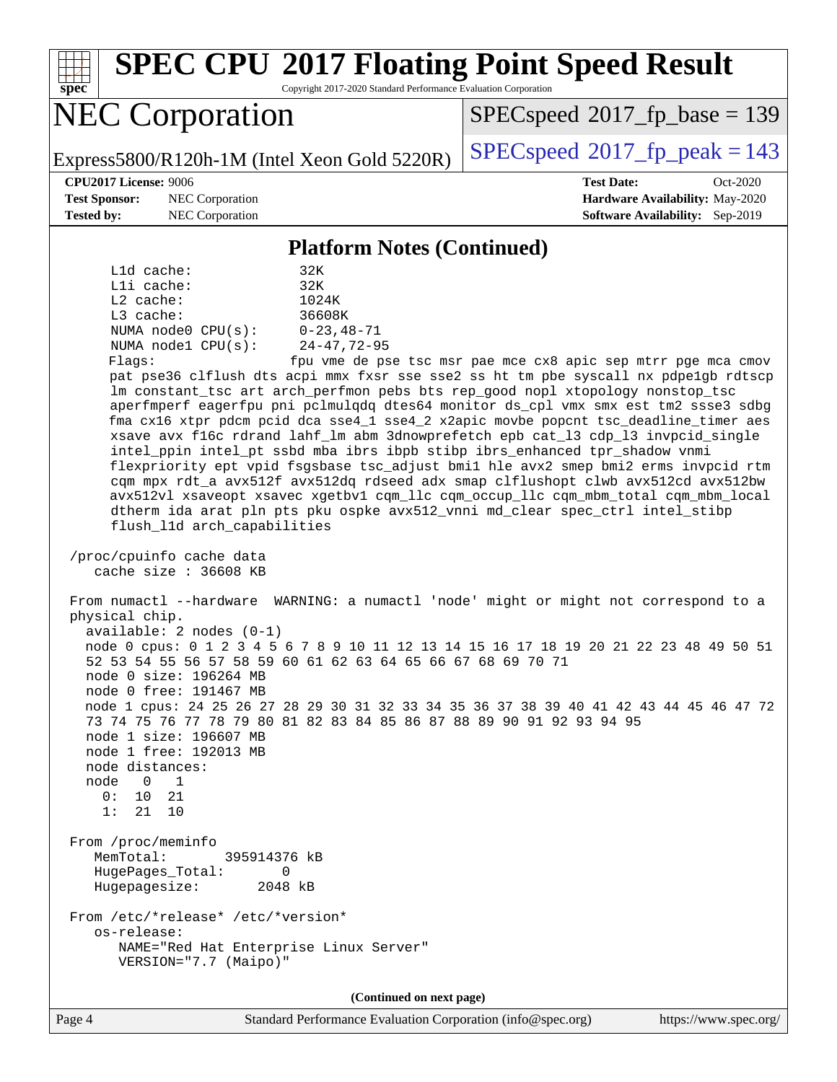**[spec](http://www.spec.org/) [SPEC CPU](http://www.spec.org/auto/cpu2017/Docs/result-fields.html#SPECCPU2017FloatingPointSpeedResult)[2017 Floating Point Speed Result](http://www.spec.org/auto/cpu2017/Docs/result-fields.html#SPECCPU2017FloatingPointSpeedResult)** Copyright 2017-2020 Standard Performance Evaluation Corporation NEC Corporation Express5800/R120h-1M (Intel Xeon Gold 5220R)  $\left|$  [SPECspeed](http://www.spec.org/auto/cpu2017/Docs/result-fields.html#SPECspeed2017fppeak)<sup>®</sup>[2017\\_fp\\_peak = 1](http://www.spec.org/auto/cpu2017/Docs/result-fields.html#SPECspeed2017fppeak)43 [SPECspeed](http://www.spec.org/auto/cpu2017/Docs/result-fields.html#SPECspeed2017fpbase)<sup>®</sup>2017 fp base = 139 **[CPU2017 License:](http://www.spec.org/auto/cpu2017/Docs/result-fields.html#CPU2017License)** 9006 **[Test Date:](http://www.spec.org/auto/cpu2017/Docs/result-fields.html#TestDate)** Oct-2020 **[Test Sponsor:](http://www.spec.org/auto/cpu2017/Docs/result-fields.html#TestSponsor)** NEC Corporation **[Hardware Availability:](http://www.spec.org/auto/cpu2017/Docs/result-fields.html#HardwareAvailability)** May-2020 **[Tested by:](http://www.spec.org/auto/cpu2017/Docs/result-fields.html#Testedby)** NEC Corporation **[Software Availability:](http://www.spec.org/auto/cpu2017/Docs/result-fields.html#SoftwareAvailability)** Sep-2019 **[Platform Notes \(Continued\)](http://www.spec.org/auto/cpu2017/Docs/result-fields.html#PlatformNotes)** L1d cache: 32K L1i cache: 32K L2 cache: 1024K L3 cache: 36608K NUMA node0 CPU(s): 0-23,48-71 NUMA node1 CPU(s): 24-47,72-95 Flags: fpu vme de pse tsc msr pae mce cx8 apic sep mtrr pge mca cmov pat pse36 clflush dts acpi mmx fxsr sse sse2 ss ht tm pbe syscall nx pdpe1gb rdtscp lm constant\_tsc art arch\_perfmon pebs bts rep\_good nopl xtopology nonstop\_tsc aperfmperf eagerfpu pni pclmulqdq dtes64 monitor ds\_cpl vmx smx est tm2 ssse3 sdbg fma cx16 xtpr pdcm pcid dca sse4\_1 sse4\_2 x2apic movbe popcnt tsc\_deadline\_timer aes xsave avx f16c rdrand lahf\_lm abm 3dnowprefetch epb cat\_l3 cdp\_l3 invpcid\_single intel\_ppin intel\_pt ssbd mba ibrs ibpb stibp ibrs\_enhanced tpr\_shadow vnmi flexpriority ept vpid fsgsbase tsc\_adjust bmi1 hle avx2 smep bmi2 erms invpcid rtm cqm mpx rdt\_a avx512f avx512dq rdseed adx smap clflushopt clwb avx512cd avx512bw avx512vl xsaveopt xsavec xgetbv1 cqm\_llc cqm\_occup\_llc cqm\_mbm\_total cqm\_mbm\_local dtherm ida arat pln pts pku ospke avx512\_vnni md\_clear spec\_ctrl intel\_stibp flush\_l1d arch\_capabilities /proc/cpuinfo cache data cache size : 36608 KB From numactl --hardware WARNING: a numactl 'node' might or might not correspond to a physical chip. available: 2 nodes (0-1) node 0 cpus: 0 1 2 3 4 5 6 7 8 9 10 11 12 13 14 15 16 17 18 19 20 21 22 23 48 49 50 51 52 53 54 55 56 57 58 59 60 61 62 63 64 65 66 67 68 69 70 71 node 0 size: 196264 MB node 0 free: 191467 MB node 1 cpus: 24 25 26 27 28 29 30 31 32 33 34 35 36 37 38 39 40 41 42 43 44 45 46 47 72 73 74 75 76 77 78 79 80 81 82 83 84 85 86 87 88 89 90 91 92 93 94 95 node 1 size: 196607 MB node 1 free: 192013 MB node distances: node 0 1 0: 10 21 1: 21 10 From /proc/meminfo MemTotal: 395914376 kB HugePages\_Total: 0 Hugepagesize: 2048 kB From /etc/\*release\* /etc/\*version\* os-release: NAME="Red Hat Enterprise Linux Server" VERSION="7.7 (Maipo)"

**(Continued on next page)**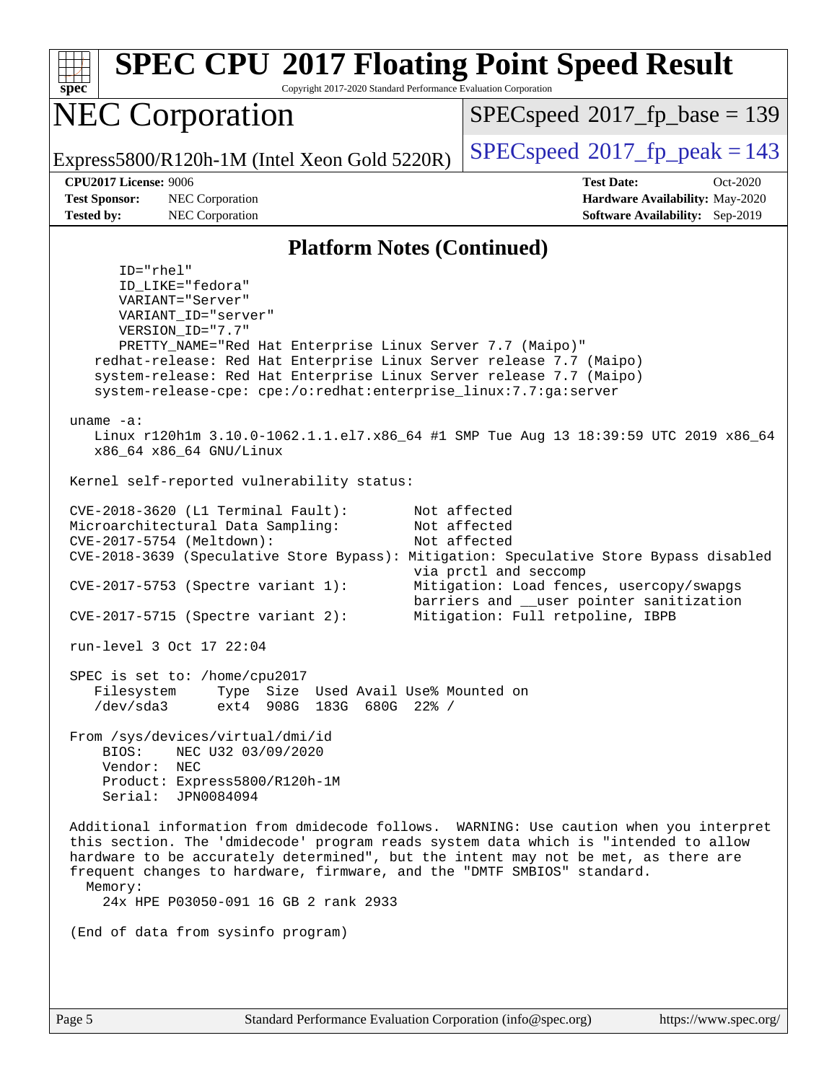| <b>SPEC CPU®2017 Floating Point Speed Result</b><br>Copyright 2017-2020 Standard Performance Evaluation Corporation<br>$spec^*$                                                                                                                                                                                                                                                                                                                                                      |                                                                                                                   |  |  |  |
|--------------------------------------------------------------------------------------------------------------------------------------------------------------------------------------------------------------------------------------------------------------------------------------------------------------------------------------------------------------------------------------------------------------------------------------------------------------------------------------|-------------------------------------------------------------------------------------------------------------------|--|--|--|
| <b>NEC Corporation</b>                                                                                                                                                                                                                                                                                                                                                                                                                                                               | $SPEC speed^{\circ}2017\_fp\_base = 139$                                                                          |  |  |  |
| Express5800/R120h-1M (Intel Xeon Gold 5220R)                                                                                                                                                                                                                                                                                                                                                                                                                                         | $SPEC speed^{\circ}2017$ fp peak = 143                                                                            |  |  |  |
| CPU2017 License: 9006<br><b>Test Sponsor:</b><br>NEC Corporation<br><b>Tested by:</b><br>NEC Corporation                                                                                                                                                                                                                                                                                                                                                                             | <b>Test Date:</b><br>$Oct-2020$<br>Hardware Availability: May-2020<br><b>Software Availability:</b> Sep-2019      |  |  |  |
| <b>Platform Notes (Continued)</b>                                                                                                                                                                                                                                                                                                                                                                                                                                                    |                                                                                                                   |  |  |  |
| $ID="rhe1"$<br>ID_LIKE="fedora"<br>VARIANT="Server"<br>VARIANT_ID="server"<br>VERSION_ID="7.7"<br>PRETTY_NAME="Red Hat Enterprise Linux Server 7.7 (Maipo)"<br>redhat-release: Red Hat Enterprise Linux Server release 7.7 (Maipo)<br>system-release: Red Hat Enterprise Linux Server release 7.7 (Maipo)<br>system-release-cpe: cpe:/o:redhat:enterprise_linux:7.7:ga:server<br>uname $-a$ :<br>Linux r120hlm 3.10.0-1062.1.1.el7.x86_64 #1 SMP Tue Aug 13 18:39:59 UTC 2019 x86_64 |                                                                                                                   |  |  |  |
| x86_64 x86_64 GNU/Linux<br>Kernel self-reported vulnerability status:                                                                                                                                                                                                                                                                                                                                                                                                                |                                                                                                                   |  |  |  |
| CVE-2018-3620 (L1 Terminal Fault):<br>Microarchitectural Data Sampling:<br>CVE-2017-5754 (Meltdown):<br>CVE-2018-3639 (Speculative Store Bypass): Mitigation: Speculative Store Bypass disabled<br>$CVE-2017-5753$ (Spectre variant 1):                                                                                                                                                                                                                                              | Not affected<br>Not affected<br>Not affected<br>via prctl and seccomp<br>Mitigation: Load fences, usercopy/swapgs |  |  |  |
| $CVE-2017-5715$ (Spectre variant 2):                                                                                                                                                                                                                                                                                                                                                                                                                                                 | barriers and __user pointer sanitization<br>Mitigation: Full retpoline, IBPB                                      |  |  |  |
| run-level 3 Oct 17 22:04                                                                                                                                                                                                                                                                                                                                                                                                                                                             |                                                                                                                   |  |  |  |
| SPEC is set to: /home/cpu2017<br>Type Size Used Avail Use% Mounted on<br>Filesystem<br>$/\text{dev/sda}$ 3<br>ext4 908G 183G 680G 22% /                                                                                                                                                                                                                                                                                                                                              |                                                                                                                   |  |  |  |
| From /sys/devices/virtual/dmi/id<br>NEC U32 03/09/2020<br>BIOS:<br>Vendor: NEC<br>Product: Express5800/R120h-1M<br>Serial: JPN0084094                                                                                                                                                                                                                                                                                                                                                |                                                                                                                   |  |  |  |
| Additional information from dmidecode follows. WARNING: Use caution when you interpret<br>this section. The 'dmidecode' program reads system data which is "intended to allow<br>hardware to be accurately determined", but the intent may not be met, as there are<br>frequent changes to hardware, firmware, and the "DMTF SMBIOS" standard.<br>Memory:<br>24x HPE P03050-091 16 GB 2 rank 2933                                                                                    |                                                                                                                   |  |  |  |
| (End of data from sysinfo program)                                                                                                                                                                                                                                                                                                                                                                                                                                                   |                                                                                                                   |  |  |  |
|                                                                                                                                                                                                                                                                                                                                                                                                                                                                                      |                                                                                                                   |  |  |  |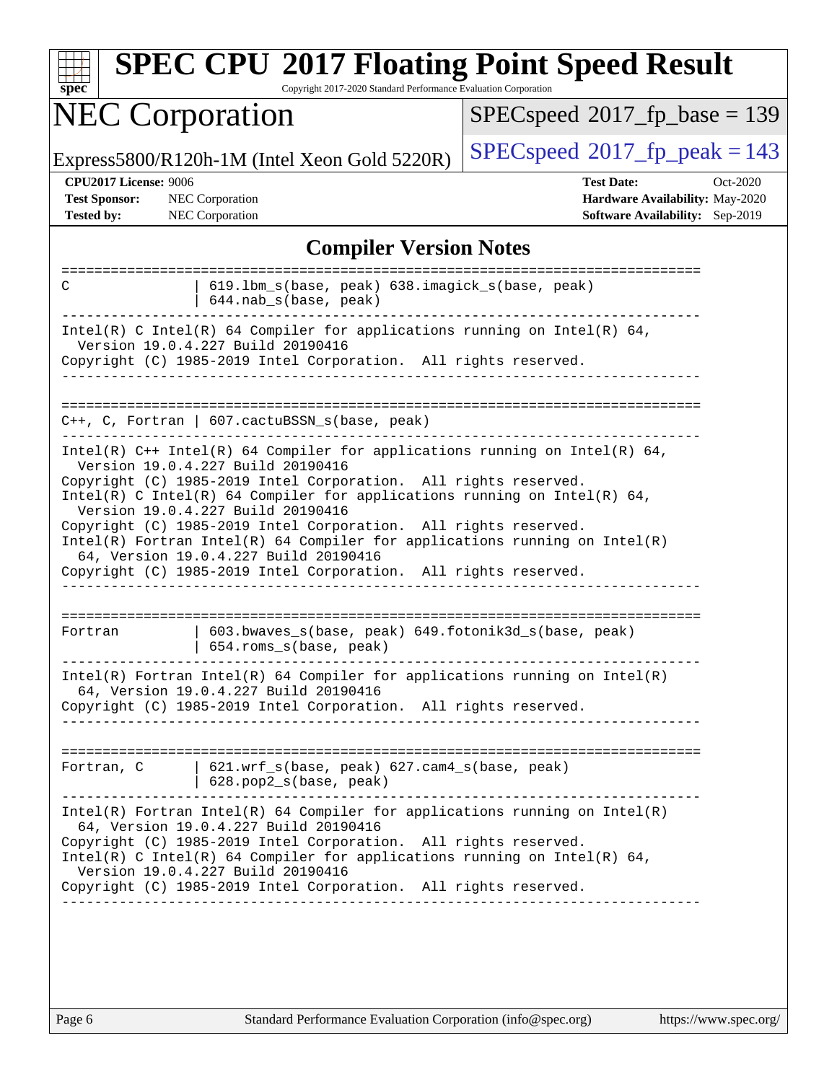| <b>NEC Corporation</b>                                                                                                                                                                                                                                                                                                                                                                                                                                                                                                                                               | $SPEC speed^{\circ}2017\_fp\_base = 139$                                                            |  |  |  |
|----------------------------------------------------------------------------------------------------------------------------------------------------------------------------------------------------------------------------------------------------------------------------------------------------------------------------------------------------------------------------------------------------------------------------------------------------------------------------------------------------------------------------------------------------------------------|-----------------------------------------------------------------------------------------------------|--|--|--|
|                                                                                                                                                                                                                                                                                                                                                                                                                                                                                                                                                                      | $SPEC speed^{\circ}2017$ _fp_peak = 143                                                             |  |  |  |
| Express5800/R120h-1M (Intel Xeon Gold 5220R)<br><b>CPU2017 License: 9006</b><br><b>Test Sponsor:</b><br><b>NEC</b> Corporation<br><b>Tested by:</b><br><b>NEC</b> Corporation                                                                                                                                                                                                                                                                                                                                                                                        | <b>Test Date:</b><br>Oct-2020<br>Hardware Availability: May-2020<br>Software Availability: Sep-2019 |  |  |  |
| <b>Compiler Version Notes</b>                                                                                                                                                                                                                                                                                                                                                                                                                                                                                                                                        |                                                                                                     |  |  |  |
| 619.1bm_s(base, peak) 638.imagick_s(base, peak)<br>C<br>644.nab_s(base, peak)                                                                                                                                                                                                                                                                                                                                                                                                                                                                                        |                                                                                                     |  |  |  |
| Intel(R) C Intel(R) 64 Compiler for applications running on Intel(R) 64,<br>Version 19.0.4.227 Build 20190416<br>Copyright (C) 1985-2019 Intel Corporation. All rights reserved.                                                                                                                                                                                                                                                                                                                                                                                     |                                                                                                     |  |  |  |
| $C++$ , C, Fortran   607.cactuBSSN_s(base, peak)                                                                                                                                                                                                                                                                                                                                                                                                                                                                                                                     |                                                                                                     |  |  |  |
| Intel(R) $C++$ Intel(R) 64 Compiler for applications running on Intel(R) 64,<br>Version 19.0.4.227 Build 20190416<br>Copyright (C) 1985-2019 Intel Corporation. All rights reserved.<br>Intel(R) C Intel(R) 64 Compiler for applications running on Intel(R) 64,<br>Version 19.0.4.227 Build 20190416<br>Copyright (C) 1985-2019 Intel Corporation. All rights reserved.<br>$Intel(R)$ Fortran Intel(R) 64 Compiler for applications running on Intel(R)<br>64, Version 19.0.4.227 Build 20190416<br>Copyright (C) 1985-2019 Intel Corporation. All rights reserved. |                                                                                                     |  |  |  |
| 603.bwaves_s(base, peak) 649.fotonik3d_s(base, peak)<br>Fortran<br>654.roms_s(base, peak)                                                                                                                                                                                                                                                                                                                                                                                                                                                                            |                                                                                                     |  |  |  |
| $Intel(R)$ Fortran Intel(R) 64 Compiler for applications running on Intel(R)<br>64, Version 19.0.4.227 Build 20190416<br>Copyright (C) 1985-2019 Intel Corporation. All rights reserved.                                                                                                                                                                                                                                                                                                                                                                             |                                                                                                     |  |  |  |
| Fortran, C   621.wrf_s(base, peak) 627.cam4_s(base, peak)<br>$  628.pop2_s(base, peak)$                                                                                                                                                                                                                                                                                                                                                                                                                                                                              |                                                                                                     |  |  |  |
| $Intel(R)$ Fortran Intel(R) 64 Compiler for applications running on Intel(R)<br>64, Version 19.0.4.227 Build 20190416<br>Copyright (C) 1985-2019 Intel Corporation. All rights reserved.<br>Intel(R) C Intel(R) 64 Compiler for applications running on Intel(R) 64,                                                                                                                                                                                                                                                                                                 |                                                                                                     |  |  |  |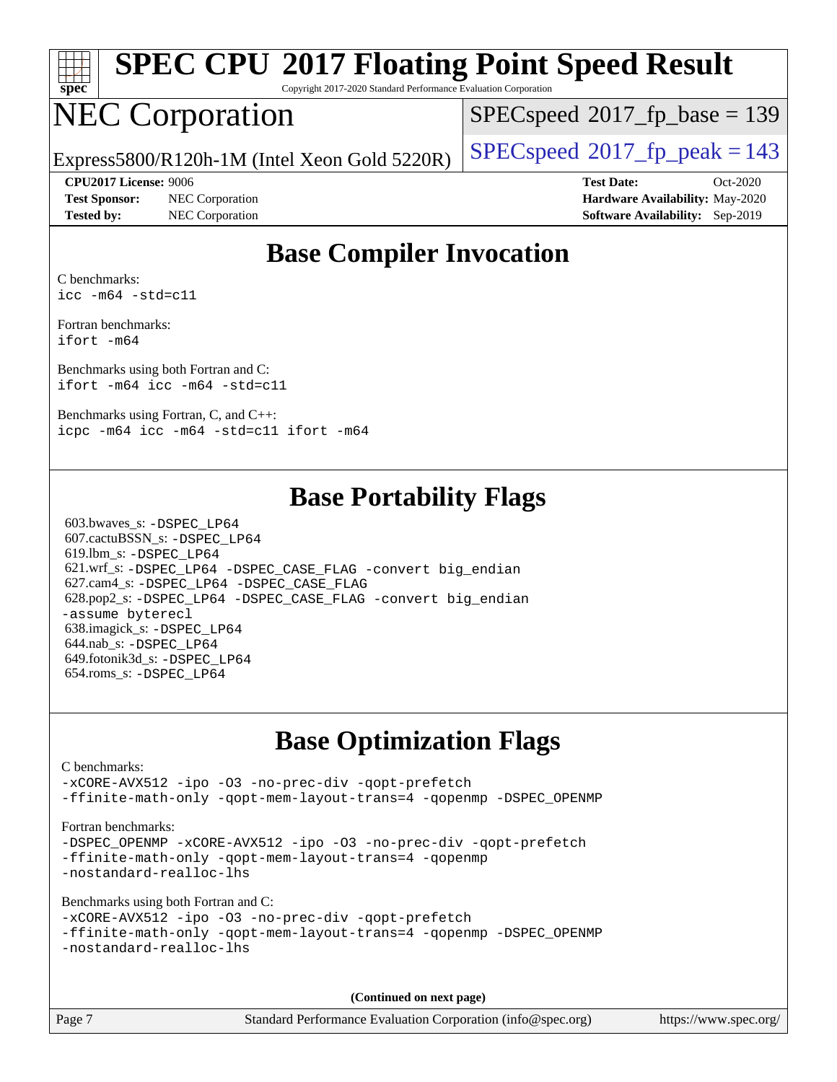

# **[SPEC CPU](http://www.spec.org/auto/cpu2017/Docs/result-fields.html#SPECCPU2017FloatingPointSpeedResult)[2017 Floating Point Speed Result](http://www.spec.org/auto/cpu2017/Docs/result-fields.html#SPECCPU2017FloatingPointSpeedResult)**

Copyright 2017-2020 Standard Performance Evaluation Corporation

## NEC Corporation

[SPECspeed](http://www.spec.org/auto/cpu2017/Docs/result-fields.html#SPECspeed2017fpbase)<sup>®</sup>2017 fp base = 139

Express5800/R120h-1M (Intel Xeon Gold 5220R)  $\big|$  [SPECspeed](http://www.spec.org/auto/cpu2017/Docs/result-fields.html#SPECspeed2017fppeak)<sup>®</sup>[2017\\_fp\\_peak = 1](http://www.spec.org/auto/cpu2017/Docs/result-fields.html#SPECspeed2017fppeak)43

**[Test Sponsor:](http://www.spec.org/auto/cpu2017/Docs/result-fields.html#TestSponsor)** NEC Corporation **[Hardware Availability:](http://www.spec.org/auto/cpu2017/Docs/result-fields.html#HardwareAvailability)** May-2020 **[Tested by:](http://www.spec.org/auto/cpu2017/Docs/result-fields.html#Testedby)** NEC Corporation **[Software Availability:](http://www.spec.org/auto/cpu2017/Docs/result-fields.html#SoftwareAvailability)** Sep-2019

**[CPU2017 License:](http://www.spec.org/auto/cpu2017/Docs/result-fields.html#CPU2017License)** 9006 **[Test Date:](http://www.spec.org/auto/cpu2017/Docs/result-fields.html#TestDate)** Oct-2020

#### **[Base Compiler Invocation](http://www.spec.org/auto/cpu2017/Docs/result-fields.html#BaseCompilerInvocation)**

[C benchmarks:](http://www.spec.org/auto/cpu2017/Docs/result-fields.html#Cbenchmarks) [icc -m64 -std=c11](http://www.spec.org/cpu2017/results/res2020q4/cpu2017-20201026-24263.flags.html#user_CCbase_intel_icc_64bit_c11_33ee0cdaae7deeeab2a9725423ba97205ce30f63b9926c2519791662299b76a0318f32ddfffdc46587804de3178b4f9328c46fa7c2b0cd779d7a61945c91cd35)

[Fortran benchmarks](http://www.spec.org/auto/cpu2017/Docs/result-fields.html#Fortranbenchmarks): [ifort -m64](http://www.spec.org/cpu2017/results/res2020q4/cpu2017-20201026-24263.flags.html#user_FCbase_intel_ifort_64bit_24f2bb282fbaeffd6157abe4f878425411749daecae9a33200eee2bee2fe76f3b89351d69a8130dd5949958ce389cf37ff59a95e7a40d588e8d3a57e0c3fd751)

[Benchmarks using both Fortran and C:](http://www.spec.org/auto/cpu2017/Docs/result-fields.html#BenchmarksusingbothFortranandC) [ifort -m64](http://www.spec.org/cpu2017/results/res2020q4/cpu2017-20201026-24263.flags.html#user_CC_FCbase_intel_ifort_64bit_24f2bb282fbaeffd6157abe4f878425411749daecae9a33200eee2bee2fe76f3b89351d69a8130dd5949958ce389cf37ff59a95e7a40d588e8d3a57e0c3fd751) [icc -m64 -std=c11](http://www.spec.org/cpu2017/results/res2020q4/cpu2017-20201026-24263.flags.html#user_CC_FCbase_intel_icc_64bit_c11_33ee0cdaae7deeeab2a9725423ba97205ce30f63b9926c2519791662299b76a0318f32ddfffdc46587804de3178b4f9328c46fa7c2b0cd779d7a61945c91cd35)

[Benchmarks using Fortran, C, and C++:](http://www.spec.org/auto/cpu2017/Docs/result-fields.html#BenchmarksusingFortranCandCXX) [icpc -m64](http://www.spec.org/cpu2017/results/res2020q4/cpu2017-20201026-24263.flags.html#user_CC_CXX_FCbase_intel_icpc_64bit_4ecb2543ae3f1412ef961e0650ca070fec7b7afdcd6ed48761b84423119d1bf6bdf5cad15b44d48e7256388bc77273b966e5eb805aefd121eb22e9299b2ec9d9) [icc -m64 -std=c11](http://www.spec.org/cpu2017/results/res2020q4/cpu2017-20201026-24263.flags.html#user_CC_CXX_FCbase_intel_icc_64bit_c11_33ee0cdaae7deeeab2a9725423ba97205ce30f63b9926c2519791662299b76a0318f32ddfffdc46587804de3178b4f9328c46fa7c2b0cd779d7a61945c91cd35) [ifort -m64](http://www.spec.org/cpu2017/results/res2020q4/cpu2017-20201026-24263.flags.html#user_CC_CXX_FCbase_intel_ifort_64bit_24f2bb282fbaeffd6157abe4f878425411749daecae9a33200eee2bee2fe76f3b89351d69a8130dd5949958ce389cf37ff59a95e7a40d588e8d3a57e0c3fd751)

#### **[Base Portability Flags](http://www.spec.org/auto/cpu2017/Docs/result-fields.html#BasePortabilityFlags)**

 603.bwaves\_s: [-DSPEC\\_LP64](http://www.spec.org/cpu2017/results/res2020q4/cpu2017-20201026-24263.flags.html#suite_basePORTABILITY603_bwaves_s_DSPEC_LP64) 607.cactuBSSN\_s: [-DSPEC\\_LP64](http://www.spec.org/cpu2017/results/res2020q4/cpu2017-20201026-24263.flags.html#suite_basePORTABILITY607_cactuBSSN_s_DSPEC_LP64) 619.lbm\_s: [-DSPEC\\_LP64](http://www.spec.org/cpu2017/results/res2020q4/cpu2017-20201026-24263.flags.html#suite_basePORTABILITY619_lbm_s_DSPEC_LP64) 621.wrf\_s: [-DSPEC\\_LP64](http://www.spec.org/cpu2017/results/res2020q4/cpu2017-20201026-24263.flags.html#suite_basePORTABILITY621_wrf_s_DSPEC_LP64) [-DSPEC\\_CASE\\_FLAG](http://www.spec.org/cpu2017/results/res2020q4/cpu2017-20201026-24263.flags.html#b621.wrf_s_baseCPORTABILITY_DSPEC_CASE_FLAG) [-convert big\\_endian](http://www.spec.org/cpu2017/results/res2020q4/cpu2017-20201026-24263.flags.html#user_baseFPORTABILITY621_wrf_s_convert_big_endian_c3194028bc08c63ac5d04de18c48ce6d347e4e562e8892b8bdbdc0214820426deb8554edfa529a3fb25a586e65a3d812c835984020483e7e73212c4d31a38223) 627.cam4\_s: [-DSPEC\\_LP64](http://www.spec.org/cpu2017/results/res2020q4/cpu2017-20201026-24263.flags.html#suite_basePORTABILITY627_cam4_s_DSPEC_LP64) [-DSPEC\\_CASE\\_FLAG](http://www.spec.org/cpu2017/results/res2020q4/cpu2017-20201026-24263.flags.html#b627.cam4_s_baseCPORTABILITY_DSPEC_CASE_FLAG) 628.pop2\_s: [-DSPEC\\_LP64](http://www.spec.org/cpu2017/results/res2020q4/cpu2017-20201026-24263.flags.html#suite_basePORTABILITY628_pop2_s_DSPEC_LP64) [-DSPEC\\_CASE\\_FLAG](http://www.spec.org/cpu2017/results/res2020q4/cpu2017-20201026-24263.flags.html#b628.pop2_s_baseCPORTABILITY_DSPEC_CASE_FLAG) [-convert big\\_endian](http://www.spec.org/cpu2017/results/res2020q4/cpu2017-20201026-24263.flags.html#user_baseFPORTABILITY628_pop2_s_convert_big_endian_c3194028bc08c63ac5d04de18c48ce6d347e4e562e8892b8bdbdc0214820426deb8554edfa529a3fb25a586e65a3d812c835984020483e7e73212c4d31a38223) [-assume byterecl](http://www.spec.org/cpu2017/results/res2020q4/cpu2017-20201026-24263.flags.html#user_baseFPORTABILITY628_pop2_s_assume_byterecl_7e47d18b9513cf18525430bbf0f2177aa9bf368bc7a059c09b2c06a34b53bd3447c950d3f8d6c70e3faf3a05c8557d66a5798b567902e8849adc142926523472) 638.imagick\_s: [-DSPEC\\_LP64](http://www.spec.org/cpu2017/results/res2020q4/cpu2017-20201026-24263.flags.html#suite_basePORTABILITY638_imagick_s_DSPEC_LP64) 644.nab\_s: [-DSPEC\\_LP64](http://www.spec.org/cpu2017/results/res2020q4/cpu2017-20201026-24263.flags.html#suite_basePORTABILITY644_nab_s_DSPEC_LP64) 649.fotonik3d\_s: [-DSPEC\\_LP64](http://www.spec.org/cpu2017/results/res2020q4/cpu2017-20201026-24263.flags.html#suite_basePORTABILITY649_fotonik3d_s_DSPEC_LP64) 654.roms\_s: [-DSPEC\\_LP64](http://www.spec.org/cpu2017/results/res2020q4/cpu2017-20201026-24263.flags.html#suite_basePORTABILITY654_roms_s_DSPEC_LP64)

#### **[Base Optimization Flags](http://www.spec.org/auto/cpu2017/Docs/result-fields.html#BaseOptimizationFlags)**

#### [C benchmarks](http://www.spec.org/auto/cpu2017/Docs/result-fields.html#Cbenchmarks): [-xCORE-AVX512](http://www.spec.org/cpu2017/results/res2020q4/cpu2017-20201026-24263.flags.html#user_CCbase_f-xCORE-AVX512) [-ipo](http://www.spec.org/cpu2017/results/res2020q4/cpu2017-20201026-24263.flags.html#user_CCbase_f-ipo) [-O3](http://www.spec.org/cpu2017/results/res2020q4/cpu2017-20201026-24263.flags.html#user_CCbase_f-O3) [-no-prec-div](http://www.spec.org/cpu2017/results/res2020q4/cpu2017-20201026-24263.flags.html#user_CCbase_f-no-prec-div) [-qopt-prefetch](http://www.spec.org/cpu2017/results/res2020q4/cpu2017-20201026-24263.flags.html#user_CCbase_f-qopt-prefetch) [-ffinite-math-only](http://www.spec.org/cpu2017/results/res2020q4/cpu2017-20201026-24263.flags.html#user_CCbase_f_finite_math_only_cb91587bd2077682c4b38af759c288ed7c732db004271a9512da14a4f8007909a5f1427ecbf1a0fb78ff2a814402c6114ac565ca162485bbcae155b5e4258871) [-qopt-mem-layout-trans=4](http://www.spec.org/cpu2017/results/res2020q4/cpu2017-20201026-24263.flags.html#user_CCbase_f-qopt-mem-layout-trans_fa39e755916c150a61361b7846f310bcdf6f04e385ef281cadf3647acec3f0ae266d1a1d22d972a7087a248fd4e6ca390a3634700869573d231a252c784941a8) [-qopenmp](http://www.spec.org/cpu2017/results/res2020q4/cpu2017-20201026-24263.flags.html#user_CCbase_qopenmp_16be0c44f24f464004c6784a7acb94aca937f053568ce72f94b139a11c7c168634a55f6653758ddd83bcf7b8463e8028bb0b48b77bcddc6b78d5d95bb1df2967) [-DSPEC\\_OPENMP](http://www.spec.org/cpu2017/results/res2020q4/cpu2017-20201026-24263.flags.html#suite_CCbase_DSPEC_OPENMP) [Fortran benchmarks](http://www.spec.org/auto/cpu2017/Docs/result-fields.html#Fortranbenchmarks): -DSPEC OPENMP [-xCORE-AVX512](http://www.spec.org/cpu2017/results/res2020q4/cpu2017-20201026-24263.flags.html#user_FCbase_f-xCORE-AVX512) [-ipo](http://www.spec.org/cpu2017/results/res2020q4/cpu2017-20201026-24263.flags.html#user_FCbase_f-ipo) [-O3](http://www.spec.org/cpu2017/results/res2020q4/cpu2017-20201026-24263.flags.html#user_FCbase_f-O3) [-no-prec-div](http://www.spec.org/cpu2017/results/res2020q4/cpu2017-20201026-24263.flags.html#user_FCbase_f-no-prec-div) [-qopt-prefetch](http://www.spec.org/cpu2017/results/res2020q4/cpu2017-20201026-24263.flags.html#user_FCbase_f-qopt-prefetch) [-ffinite-math-only](http://www.spec.org/cpu2017/results/res2020q4/cpu2017-20201026-24263.flags.html#user_FCbase_f_finite_math_only_cb91587bd2077682c4b38af759c288ed7c732db004271a9512da14a4f8007909a5f1427ecbf1a0fb78ff2a814402c6114ac565ca162485bbcae155b5e4258871) [-qopt-mem-layout-trans=4](http://www.spec.org/cpu2017/results/res2020q4/cpu2017-20201026-24263.flags.html#user_FCbase_f-qopt-mem-layout-trans_fa39e755916c150a61361b7846f310bcdf6f04e385ef281cadf3647acec3f0ae266d1a1d22d972a7087a248fd4e6ca390a3634700869573d231a252c784941a8) [-qopenmp](http://www.spec.org/cpu2017/results/res2020q4/cpu2017-20201026-24263.flags.html#user_FCbase_qopenmp_16be0c44f24f464004c6784a7acb94aca937f053568ce72f94b139a11c7c168634a55f6653758ddd83bcf7b8463e8028bb0b48b77bcddc6b78d5d95bb1df2967) [-nostandard-realloc-lhs](http://www.spec.org/cpu2017/results/res2020q4/cpu2017-20201026-24263.flags.html#user_FCbase_f_2003_std_realloc_82b4557e90729c0f113870c07e44d33d6f5a304b4f63d4c15d2d0f1fab99f5daaed73bdb9275d9ae411527f28b936061aa8b9c8f2d63842963b95c9dd6426b8a) [Benchmarks using both Fortran and C](http://www.spec.org/auto/cpu2017/Docs/result-fields.html#BenchmarksusingbothFortranandC): [-xCORE-AVX512](http://www.spec.org/cpu2017/results/res2020q4/cpu2017-20201026-24263.flags.html#user_CC_FCbase_f-xCORE-AVX512) [-ipo](http://www.spec.org/cpu2017/results/res2020q4/cpu2017-20201026-24263.flags.html#user_CC_FCbase_f-ipo) [-O3](http://www.spec.org/cpu2017/results/res2020q4/cpu2017-20201026-24263.flags.html#user_CC_FCbase_f-O3) [-no-prec-div](http://www.spec.org/cpu2017/results/res2020q4/cpu2017-20201026-24263.flags.html#user_CC_FCbase_f-no-prec-div) [-qopt-prefetch](http://www.spec.org/cpu2017/results/res2020q4/cpu2017-20201026-24263.flags.html#user_CC_FCbase_f-qopt-prefetch) [-ffinite-math-only](http://www.spec.org/cpu2017/results/res2020q4/cpu2017-20201026-24263.flags.html#user_CC_FCbase_f_finite_math_only_cb91587bd2077682c4b38af759c288ed7c732db004271a9512da14a4f8007909a5f1427ecbf1a0fb78ff2a814402c6114ac565ca162485bbcae155b5e4258871) [-qopt-mem-layout-trans=4](http://www.spec.org/cpu2017/results/res2020q4/cpu2017-20201026-24263.flags.html#user_CC_FCbase_f-qopt-mem-layout-trans_fa39e755916c150a61361b7846f310bcdf6f04e385ef281cadf3647acec3f0ae266d1a1d22d972a7087a248fd4e6ca390a3634700869573d231a252c784941a8) [-qopenmp](http://www.spec.org/cpu2017/results/res2020q4/cpu2017-20201026-24263.flags.html#user_CC_FCbase_qopenmp_16be0c44f24f464004c6784a7acb94aca937f053568ce72f94b139a11c7c168634a55f6653758ddd83bcf7b8463e8028bb0b48b77bcddc6b78d5d95bb1df2967) [-DSPEC\\_OPENMP](http://www.spec.org/cpu2017/results/res2020q4/cpu2017-20201026-24263.flags.html#suite_CC_FCbase_DSPEC_OPENMP) [-nostandard-realloc-lhs](http://www.spec.org/cpu2017/results/res2020q4/cpu2017-20201026-24263.flags.html#user_CC_FCbase_f_2003_std_realloc_82b4557e90729c0f113870c07e44d33d6f5a304b4f63d4c15d2d0f1fab99f5daaed73bdb9275d9ae411527f28b936061aa8b9c8f2d63842963b95c9dd6426b8a) **(Continued on next page)**

Page 7 Standard Performance Evaluation Corporation [\(info@spec.org\)](mailto:info@spec.org) <https://www.spec.org/>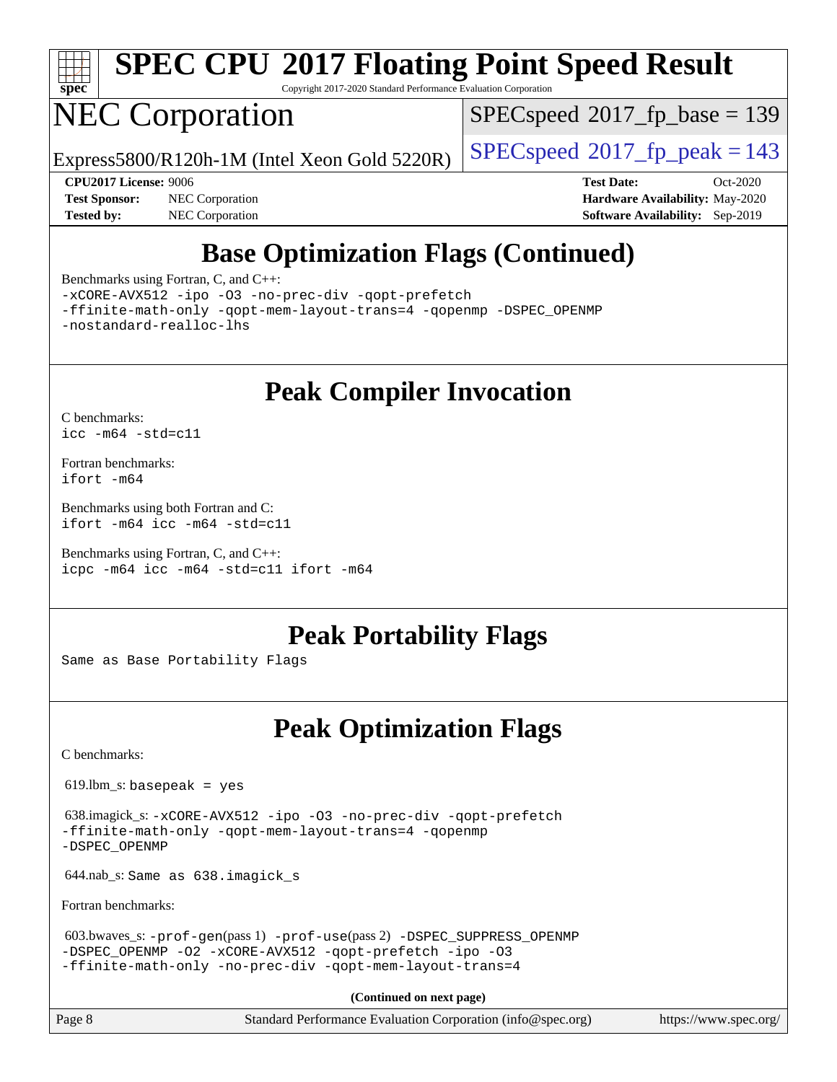

# **[SPEC CPU](http://www.spec.org/auto/cpu2017/Docs/result-fields.html#SPECCPU2017FloatingPointSpeedResult)[2017 Floating Point Speed Result](http://www.spec.org/auto/cpu2017/Docs/result-fields.html#SPECCPU2017FloatingPointSpeedResult)**

Copyright 2017-2020 Standard Performance Evaluation Corporation

## NEC Corporation

[SPECspeed](http://www.spec.org/auto/cpu2017/Docs/result-fields.html#SPECspeed2017fpbase)<sup>®</sup>2017 fp base = 139

Express5800/R120h-1M (Intel Xeon Gold 5220R)  $\big|$  [SPECspeed](http://www.spec.org/auto/cpu2017/Docs/result-fields.html#SPECspeed2017fppeak)<sup>®</sup>[2017\\_fp\\_peak = 1](http://www.spec.org/auto/cpu2017/Docs/result-fields.html#SPECspeed2017fppeak)43

**[Tested by:](http://www.spec.org/auto/cpu2017/Docs/result-fields.html#Testedby)** NEC Corporation **[Software Availability:](http://www.spec.org/auto/cpu2017/Docs/result-fields.html#SoftwareAvailability)** Sep-2019

**[CPU2017 License:](http://www.spec.org/auto/cpu2017/Docs/result-fields.html#CPU2017License)** 9006 **[Test Date:](http://www.spec.org/auto/cpu2017/Docs/result-fields.html#TestDate)** Oct-2020 **[Test Sponsor:](http://www.spec.org/auto/cpu2017/Docs/result-fields.html#TestSponsor)** NEC Corporation **[Hardware Availability:](http://www.spec.org/auto/cpu2017/Docs/result-fields.html#HardwareAvailability)** May-2020

## **[Base Optimization Flags \(Continued\)](http://www.spec.org/auto/cpu2017/Docs/result-fields.html#BaseOptimizationFlags)**

[Benchmarks using Fortran, C, and C++:](http://www.spec.org/auto/cpu2017/Docs/result-fields.html#BenchmarksusingFortranCandCXX)

[-xCORE-AVX512](http://www.spec.org/cpu2017/results/res2020q4/cpu2017-20201026-24263.flags.html#user_CC_CXX_FCbase_f-xCORE-AVX512) [-ipo](http://www.spec.org/cpu2017/results/res2020q4/cpu2017-20201026-24263.flags.html#user_CC_CXX_FCbase_f-ipo) [-O3](http://www.spec.org/cpu2017/results/res2020q4/cpu2017-20201026-24263.flags.html#user_CC_CXX_FCbase_f-O3) [-no-prec-div](http://www.spec.org/cpu2017/results/res2020q4/cpu2017-20201026-24263.flags.html#user_CC_CXX_FCbase_f-no-prec-div) [-qopt-prefetch](http://www.spec.org/cpu2017/results/res2020q4/cpu2017-20201026-24263.flags.html#user_CC_CXX_FCbase_f-qopt-prefetch)

[-ffinite-math-only](http://www.spec.org/cpu2017/results/res2020q4/cpu2017-20201026-24263.flags.html#user_CC_CXX_FCbase_f_finite_math_only_cb91587bd2077682c4b38af759c288ed7c732db004271a9512da14a4f8007909a5f1427ecbf1a0fb78ff2a814402c6114ac565ca162485bbcae155b5e4258871) [-qopt-mem-layout-trans=4](http://www.spec.org/cpu2017/results/res2020q4/cpu2017-20201026-24263.flags.html#user_CC_CXX_FCbase_f-qopt-mem-layout-trans_fa39e755916c150a61361b7846f310bcdf6f04e385ef281cadf3647acec3f0ae266d1a1d22d972a7087a248fd4e6ca390a3634700869573d231a252c784941a8) [-qopenmp](http://www.spec.org/cpu2017/results/res2020q4/cpu2017-20201026-24263.flags.html#user_CC_CXX_FCbase_qopenmp_16be0c44f24f464004c6784a7acb94aca937f053568ce72f94b139a11c7c168634a55f6653758ddd83bcf7b8463e8028bb0b48b77bcddc6b78d5d95bb1df2967) [-DSPEC\\_OPENMP](http://www.spec.org/cpu2017/results/res2020q4/cpu2017-20201026-24263.flags.html#suite_CC_CXX_FCbase_DSPEC_OPENMP) [-nostandard-realloc-lhs](http://www.spec.org/cpu2017/results/res2020q4/cpu2017-20201026-24263.flags.html#user_CC_CXX_FCbase_f_2003_std_realloc_82b4557e90729c0f113870c07e44d33d6f5a304b4f63d4c15d2d0f1fab99f5daaed73bdb9275d9ae411527f28b936061aa8b9c8f2d63842963b95c9dd6426b8a)

#### **[Peak Compiler Invocation](http://www.spec.org/auto/cpu2017/Docs/result-fields.html#PeakCompilerInvocation)**

[C benchmarks](http://www.spec.org/auto/cpu2017/Docs/result-fields.html#Cbenchmarks): [icc -m64 -std=c11](http://www.spec.org/cpu2017/results/res2020q4/cpu2017-20201026-24263.flags.html#user_CCpeak_intel_icc_64bit_c11_33ee0cdaae7deeeab2a9725423ba97205ce30f63b9926c2519791662299b76a0318f32ddfffdc46587804de3178b4f9328c46fa7c2b0cd779d7a61945c91cd35)

[Fortran benchmarks](http://www.spec.org/auto/cpu2017/Docs/result-fields.html#Fortranbenchmarks): [ifort -m64](http://www.spec.org/cpu2017/results/res2020q4/cpu2017-20201026-24263.flags.html#user_FCpeak_intel_ifort_64bit_24f2bb282fbaeffd6157abe4f878425411749daecae9a33200eee2bee2fe76f3b89351d69a8130dd5949958ce389cf37ff59a95e7a40d588e8d3a57e0c3fd751)

[Benchmarks using both Fortran and C](http://www.spec.org/auto/cpu2017/Docs/result-fields.html#BenchmarksusingbothFortranandC): [ifort -m64](http://www.spec.org/cpu2017/results/res2020q4/cpu2017-20201026-24263.flags.html#user_CC_FCpeak_intel_ifort_64bit_24f2bb282fbaeffd6157abe4f878425411749daecae9a33200eee2bee2fe76f3b89351d69a8130dd5949958ce389cf37ff59a95e7a40d588e8d3a57e0c3fd751) [icc -m64 -std=c11](http://www.spec.org/cpu2017/results/res2020q4/cpu2017-20201026-24263.flags.html#user_CC_FCpeak_intel_icc_64bit_c11_33ee0cdaae7deeeab2a9725423ba97205ce30f63b9926c2519791662299b76a0318f32ddfffdc46587804de3178b4f9328c46fa7c2b0cd779d7a61945c91cd35)

[Benchmarks using Fortran, C, and C++:](http://www.spec.org/auto/cpu2017/Docs/result-fields.html#BenchmarksusingFortranCandCXX) [icpc -m64](http://www.spec.org/cpu2017/results/res2020q4/cpu2017-20201026-24263.flags.html#user_CC_CXX_FCpeak_intel_icpc_64bit_4ecb2543ae3f1412ef961e0650ca070fec7b7afdcd6ed48761b84423119d1bf6bdf5cad15b44d48e7256388bc77273b966e5eb805aefd121eb22e9299b2ec9d9) [icc -m64 -std=c11](http://www.spec.org/cpu2017/results/res2020q4/cpu2017-20201026-24263.flags.html#user_CC_CXX_FCpeak_intel_icc_64bit_c11_33ee0cdaae7deeeab2a9725423ba97205ce30f63b9926c2519791662299b76a0318f32ddfffdc46587804de3178b4f9328c46fa7c2b0cd779d7a61945c91cd35) [ifort -m64](http://www.spec.org/cpu2017/results/res2020q4/cpu2017-20201026-24263.flags.html#user_CC_CXX_FCpeak_intel_ifort_64bit_24f2bb282fbaeffd6157abe4f878425411749daecae9a33200eee2bee2fe76f3b89351d69a8130dd5949958ce389cf37ff59a95e7a40d588e8d3a57e0c3fd751)

#### **[Peak Portability Flags](http://www.spec.org/auto/cpu2017/Docs/result-fields.html#PeakPortabilityFlags)**

Same as Base Portability Flags

#### **[Peak Optimization Flags](http://www.spec.org/auto/cpu2017/Docs/result-fields.html#PeakOptimizationFlags)**

[C benchmarks](http://www.spec.org/auto/cpu2017/Docs/result-fields.html#Cbenchmarks):

 $619.$ lbm\_s: basepeak = yes

 638.imagick\_s: [-xCORE-AVX512](http://www.spec.org/cpu2017/results/res2020q4/cpu2017-20201026-24263.flags.html#user_peakCOPTIMIZE638_imagick_s_f-xCORE-AVX512) [-ipo](http://www.spec.org/cpu2017/results/res2020q4/cpu2017-20201026-24263.flags.html#user_peakCOPTIMIZE638_imagick_s_f-ipo) [-O3](http://www.spec.org/cpu2017/results/res2020q4/cpu2017-20201026-24263.flags.html#user_peakCOPTIMIZE638_imagick_s_f-O3) [-no-prec-div](http://www.spec.org/cpu2017/results/res2020q4/cpu2017-20201026-24263.flags.html#user_peakCOPTIMIZE638_imagick_s_f-no-prec-div) [-qopt-prefetch](http://www.spec.org/cpu2017/results/res2020q4/cpu2017-20201026-24263.flags.html#user_peakCOPTIMIZE638_imagick_s_f-qopt-prefetch) [-ffinite-math-only](http://www.spec.org/cpu2017/results/res2020q4/cpu2017-20201026-24263.flags.html#user_peakCOPTIMIZE638_imagick_s_f_finite_math_only_cb91587bd2077682c4b38af759c288ed7c732db004271a9512da14a4f8007909a5f1427ecbf1a0fb78ff2a814402c6114ac565ca162485bbcae155b5e4258871) [-qopt-mem-layout-trans=4](http://www.spec.org/cpu2017/results/res2020q4/cpu2017-20201026-24263.flags.html#user_peakCOPTIMIZE638_imagick_s_f-qopt-mem-layout-trans_fa39e755916c150a61361b7846f310bcdf6f04e385ef281cadf3647acec3f0ae266d1a1d22d972a7087a248fd4e6ca390a3634700869573d231a252c784941a8) [-qopenmp](http://www.spec.org/cpu2017/results/res2020q4/cpu2017-20201026-24263.flags.html#user_peakCOPTIMIZE638_imagick_s_qopenmp_16be0c44f24f464004c6784a7acb94aca937f053568ce72f94b139a11c7c168634a55f6653758ddd83bcf7b8463e8028bb0b48b77bcddc6b78d5d95bb1df2967) [-DSPEC\\_OPENMP](http://www.spec.org/cpu2017/results/res2020q4/cpu2017-20201026-24263.flags.html#suite_peakCOPTIMIZE638_imagick_s_DSPEC_OPENMP)

644.nab\_s: Same as 638.imagick\_s

[Fortran benchmarks](http://www.spec.org/auto/cpu2017/Docs/result-fields.html#Fortranbenchmarks):

```
 603.bwaves_s: -prof-gen(pass 1) -prof-use(pass 2) -DSPEC_SUPPRESS_OPENMP
-DSPEC_OPENMP -O2 -xCORE-AVX512 -qopt-prefetch -ipo -O3
-ffinite-math-only -no-prec-div -qopt-mem-layout-trans=4
```
**(Continued on next page)**